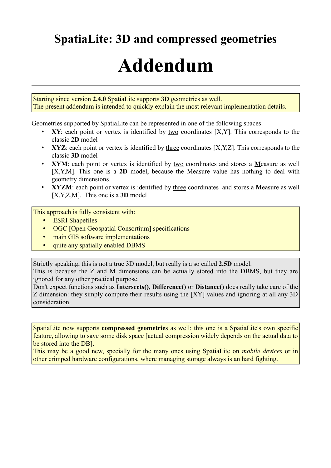## **SpatiaLite: 3D and compressed geometries**

# **Addendum**

Starting since version **2.4.0** SpatiaLite supports **3D** geometries as well. The present addendum is intended to quickly explain the most relevant implementation details.

Geometries supported by SpatiaLite can be represented in one of the following spaces:

- **XY**: each point or vertex is identified by two coordinates [X,Y]. This corresponds to the classic **2D** model
- **XYZ**: each point or vertex is identified by three coordinates [X,Y,Z]. This corresponds to the classic **3D** model
- **XYM**: each point or vertex is identified by two coordinates and stores a **M**easure as well [X,Y,M]. This one is a **2D** model, because the Measure value has nothing to deal with geometry dimensions.
- **XYZM**: each point or vertex is identified by three coordinates and stores a **M**easure as well [X,Y,Z,M]. This one is a **3D** model

This approach is fully consistent with:

- **ESRI Shapefiles**
- OGC [Open Geospatial Consortium] specifications
- main GIS software implementations
- quite any spatially enabled DBMS

Strictly speaking, this is not a true 3D model, but really is a so called **2.5D** model.

This is because the Z and M dimensions can be actually stored into the DBMS, but they are ignored for any other practical purpose.

Don't expect functions such as **Intersects()**, **Difference()** or **Distance()** does really take care of the Z dimension: they simply compute their results using the [XY] values and ignoring at all any 3D consideration.

SpatiaLite now supports **compressed geometries** as well: this one is a SpatiaLite's own specific feature, allowing to save some disk space [actual compression widely depends on the actual data to be stored into the DB].

This may be a good new, specially for the many ones using SpatiaLite on *mobile devices* or in other crimped hardware configurations, where managing storage always is an hard fighting.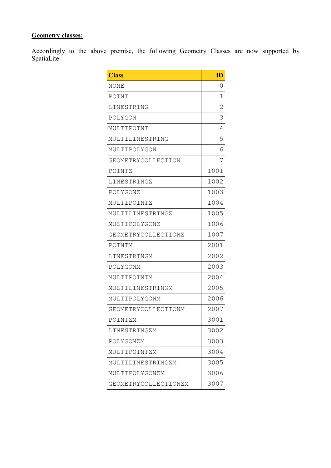### **Geometry classes:**

Accordingly to the above premise, the following Geometry Classes are now supported by SpatiaLite:

| <b>Class</b>         | $\mathbf{D}$   |
|----------------------|----------------|
| NONE                 | 0              |
| POINT                | 1              |
| LINESTRING           | $\overline{2}$ |
| POLYGON              | 3              |
| MULTIPOINT           | 4              |
| MULTILINESTRING      | 5              |
| MULTIPOLYGON         | 6              |
| GEOMETRYCOLLECTION   | 7              |
| POINTZ               | 1001           |
| LINESTRINGZ          | 1002           |
| POLYGONZ             | 1003           |
| MULTIPOINTZ          | 1004           |
| MULTILINESTRINGZ     | 1005           |
| MULTIPOLYGONZ        | 1006           |
| GEOMETRYCOLLECTIONZ  | 1007           |
| POINTM               | 2001           |
| LINESTRINGM          | 2002           |
| POLYGONM             | 2003           |
| MULTIPOINTM          | 2004           |
| MULTILINESTRINGM     | 2005           |
| MULTIPOLYGONM        | 2006           |
| GEOMETRYCOLLECTIONM  | 2007           |
| POINTZM              | 3001           |
| LINESTRINGZM         | 3002           |
| POLYGONZM            | 3003           |
| MULTIPOINTZM         | 3004           |
| MULTILINESTRINGZM    | 3005           |
| MULTIPOLYGONZM       | 3006           |
| GEOMETRYCOLLECTIONZM | 3007           |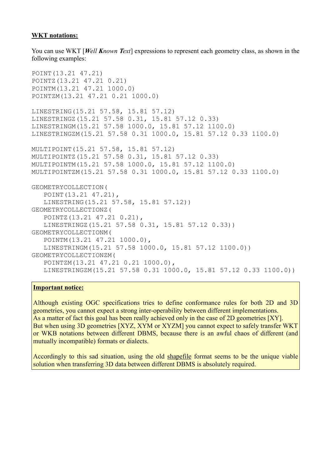#### **WKT notations:**

You can use WKT [*Well Known Text*] expressions to represent each geometry class, as shown in the following examples:

```
POINT(13.21 47.21)
POINTZ(13.21 47.21 0.21)
POINTM(13.21 47.21 1000.0)
POINTZM(13.21 47.21 0.21 1000.0)
LINESTRING(15.21 57.58, 15.81 57.12)
LINESTRINGZ(15.21 57.58 0.31, 15.81 57.12 0.33)
LINESTRINGM(15.21 57.58 1000.0, 15.81 57.12 1100.0)
LINESTRINGZM(15.21 57.58 0.31 1000.0, 15.81 57.12 0.33 1100.0)
MULTIPOINT(15.21 57.58, 15.81 57.12)
MULTIPOINTZ(15.21 57.58 0.31, 15.81 57.12 0.33)
MULTIPOINTM(15.21 57.58 1000.0, 15.81 57.12 1100.0)
MULTIPOINTZM(15.21 57.58 0.31 1000.0, 15.81 57.12 0.33 1100.0)
GEOMETRYCOLLECTION(
    POINT(13.21 47.21), 
    LINESTRING(15.21 57.58, 15.81 57.12))
GEOMETRYCOLLECTIONZ(
    POINTZ(13.21 47.21 0.21), 
    LINESTRINGZ(15.21 57.58 0.31, 15.81 57.12 0.33))
GEOMETRYCOLLECTIONM(
    POINTM(13.21 47.21 1000.0), 
    LINESTRINGM(15.21 57.58 1000.0, 15.81 57.12 1100.0))
GEOMETRYCOLLECTIONZM(
    POINTZM(13.21 47.21 0.21 1000.0),
    LINESTRINGZM(15.21 57.58 0.31 1000.0, 15.81 57.12 0.33 1100.0))
```
#### **Important notice:**

Although existing OGC specifications tries to define conformance rules for both 2D and 3D geometries, you cannot expect a strong inter-operability between different implementations. As a matter of fact this goal has been really achieved only in the case of 2D geometries [XY]. But when using 3D geometries [XYZ, XYM or XYZM] you cannot expect to safely transfer WKT or WKB notations between different DBMS, because there is an awful chaos of different (and mutually incompatible) formats or dialects.

Accordingly to this sad situation, using the old shapefile format seems to be the unique viable solution when transferring 3D data between different DBMS is absolutely required.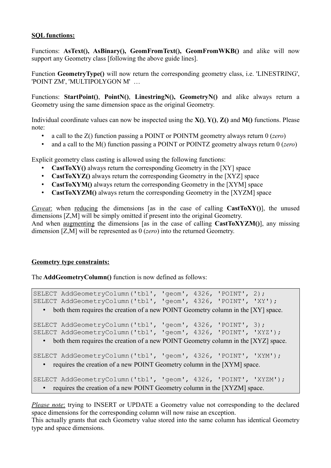#### **SQL functions:**

Functions: **AsText(), AsBinary(), GeomFromText(), GeomFromWKB()** and alike will now support any Geometry class [following the above guide lines].

Function **GeometryType()** will now return the corresponding geometry class, i.e. 'LINESTRING', 'POINT ZM', 'MULTIPOLYGON M' …

Functions: **StartPoint()**, **PointN()**, **LinestringN(), GeometryN()** and alike always return a Geometry using the same dimension space as the original Geometry.

Individual coordinate values can now be inspected using the **X()**, **Y()**, **Z()** and **M()** functions. Please note:

- a call to the Z() function passing a POINT or POINTM geometry always return 0 (*zero*)
- and a call to the M() function passing a POINT or POINTZ geometry always return 0 (*zero*)

Explicit geometry class casting is allowed using the following functions:

- **CastToXY()** always return the corresponding Geometry in the [XY] space
- **CastToXYZ()** always return the corresponding Geometry in the [XYZ] space
- **CastToXYM()** always return the corresponding Geometry in the [XYM] space
- **CastToXYZM()** always return the corresponding Geometry in the [XYZM] space

*Caveat*: when reducing the dimensions [as in the case of calling **CastToXY**()], the unused dimensions [Z,M] will be simply omitted if present into the original Geometry. And when augmenting the dimensions [as in the case of calling **CastToXYZM()**], any missing dimension [Z,M] will be represented as 0 (*zero*) into the returned Geometry.

#### **Geometry type constraints:**

The **AddGeometryColumn()** function is now defined as follows:

SELECT AddGeometryColumn('tbl', 'geom', 4326, 'POINT', 2); SELECT AddGeometryColumn('tbl', 'geom', 4326, 'POINT', 'XY'); • both them requires the creation of a new POINT Geometry column in the [XY] space. SELECT AddGeometryColumn('tbl', 'geom', 4326, 'POINT', 3); SELECT AddGeometryColumn('tbl', 'geom', 4326, 'POINT', 'XYZ'); • both them requires the creation of a new POINT Geometry column in the [XYZ] space. SELECT AddGeometryColumn('tbl', 'geom', 4326, 'POINT', 'XYM'); • requires the creation of a new POINT Geometry column in the [XYM] space.

SELECT AddGeometryColumn('tbl', 'geom', 4326, 'POINT', 'XYZM'); • requires the creation of a new POINT Geometry column in the [XYZM] space.

*Please note:* trying to INSERT or UPDATE a Geometry value not corresponding to the declared space dimensions for the corresponding column will now raise an exception.

This actually grants that each Geometry value stored into the same column has identical Geometry type and space dimensions.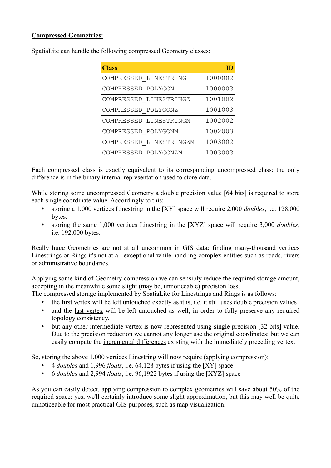#### **Compressed Geometries:**

| <b>Class</b>            |         |
|-------------------------|---------|
| COMPRESSED LINESTRING   | 1000002 |
| COMPRESSED POLYGON      | 1000003 |
| COMPRESSED LINESTRINGZ  | 1001002 |
| COMPRESSED POLYGONZ     | 1001003 |
| COMPRESSED LINESTRINGM  | 1002002 |
| COMPRESSED POLYGONM     | 1002003 |
| COMPRESSED LINESTRINGZM | 1003002 |
| COMPRESSED POLYGONZM    | 1003003 |

SpatiaLite can handle the following compressed Geometry classes:

Each compressed class is exactly equivalent to its corresponding uncompressed class: the only difference is in the binary internal representation used to store data.

While storing some uncompressed Geometry a double precision value [64 bits] is required to store each single coordinate value. Accordingly to this:

- storing a 1,000 vertices Linestring in the [XY] space will require 2,000 *doubles*, i.e. 128,000 bytes.
- storing the same 1,000 vertices Linestring in the [XYZ] space will require 3,000 *doubles*, i.e. 192,000 bytes.

Really huge Geometries are not at all uncommon in GIS data: finding many-thousand vertices Linestrings or Rings it's not at all exceptional while handling complex entities such as roads, rivers or administrative boundaries.

Applying some kind of Geometry compression we can sensibly reduce the required storage amount, accepting in the meanwhile some slight (may be, unnoticeable) precision loss.

The compressed storage implemented by SpatiaLite for Linestrings and Rings is as follows:

- the first vertex will be left untouched exactly as it is, i.e. it still uses double precision values
- and the last vertex will be left untouched as well, in order to fully preserve any required topology consistency.
- but any other intermediate vertex is now represented using single precision [32 bits] value. Due to the precision reduction we cannot any longer use the original coordinates: but we can easily compute the incremental differences existing with the immediately preceding vertex.

So, storing the above 1,000 vertices Linestring will now require (applying compression):

- 4 *doubles* and 1,996 *floats*, i.e. 64,128 bytes if using the [XY] space
- 6 *doubles* and 2,994 *floats*, i.e. 96,1922 bytes if using the [XYZ] space

As you can easily detect, applying compression to complex geometries will save about 50% of the required space: yes, we'll certainly introduce some slight approximation, but this may well be quite unnoticeable for most practical GIS purposes, such as map visualization.